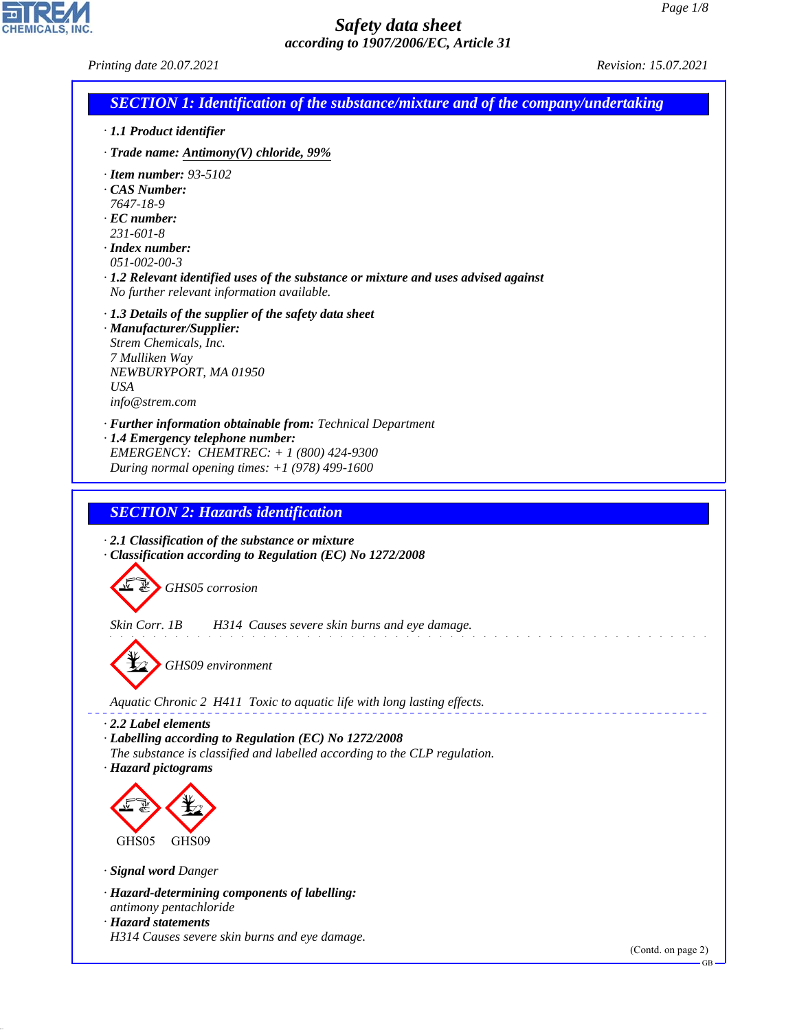*Printing date 20.07.2021 Revision: 15.07.2021*

CHEMICALS, INC.

44.1.1

| <b>SECTION 1: Identification of the substance/mixture and of the company/undertaking</b>                                                                                                                                                                                                        |                    |
|-------------------------------------------------------------------------------------------------------------------------------------------------------------------------------------------------------------------------------------------------------------------------------------------------|--------------------|
| · 1.1 Product identifier                                                                                                                                                                                                                                                                        |                    |
| $\cdot$ Trade name: Antimony(V) chloride, 99%                                                                                                                                                                                                                                                   |                    |
| $\cdot$ Item number: 93-5102<br>$\cdot$ CAS Number:<br>7647-18-9<br>$\cdot$ EC number:<br>$231 - 601 - 8$<br>$\cdot$ Index number:<br>$051 - 002 - 00 - 3$<br>· 1.2 Relevant identified uses of the substance or mixture and uses advised against<br>No further relevant information available. |                    |
| $\cdot$ 1.3 Details of the supplier of the safety data sheet<br>· Manufacturer/Supplier:<br>Strem Chemicals, Inc.<br>7 Mulliken Way<br>NEWBURYPORT, MA 01950<br><b>USA</b><br>info@strem.com                                                                                                    |                    |
| · Further information obtainable from: Technical Department<br>· 1.4 Emergency telephone number:<br>EMERGENCY: CHEMTREC: + 1 (800) 424-9300<br>During normal opening times: $+1$ (978) 499-1600                                                                                                 |                    |
| <b>SECTION 2: Hazards identification</b><br>$\cdot$ 2.1 Classification of the substance or mixture<br>· Classification according to Regulation (EC) No 1272/2008                                                                                                                                |                    |
| GHS05 corrosion                                                                                                                                                                                                                                                                                 |                    |
| Skin Corr. 1B<br>H314 Causes severe skin burns and eye damage.<br>GHS09 environment                                                                                                                                                                                                             |                    |
| Aquatic Chronic 2 H411 Toxic to aquatic life with long lasting effects.                                                                                                                                                                                                                         |                    |
| $\cdot$ 2.2 Label elements<br>· Labelling according to Regulation (EC) No 1272/2008<br>The substance is classified and labelled according to the CLP regulation.<br>· Hazard pictograms                                                                                                         |                    |
|                                                                                                                                                                                                                                                                                                 |                    |
| GHS05<br>GHS09                                                                                                                                                                                                                                                                                  |                    |
| · Signal word Danger                                                                                                                                                                                                                                                                            |                    |
| · Hazard-determining components of labelling:<br>antimony pentachloride<br>· Hazard statements                                                                                                                                                                                                  |                    |
| H314 Causes severe skin burns and eye damage.                                                                                                                                                                                                                                                   | (Contd. on page 2) |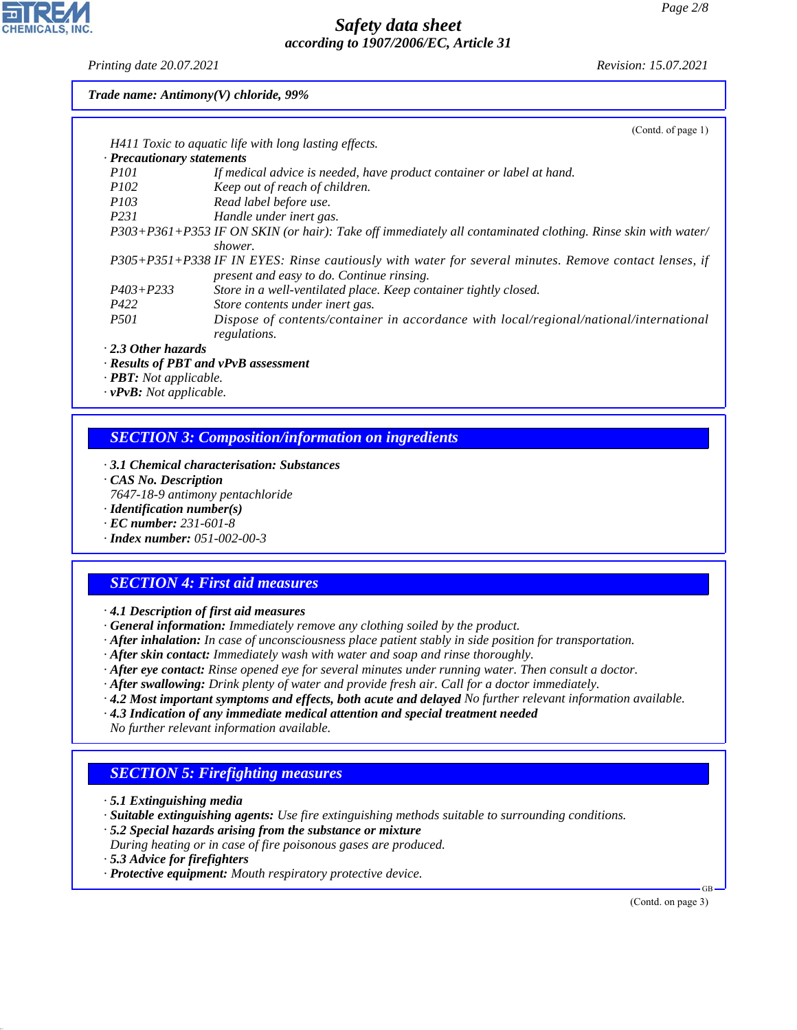*Printing date 20.07.2021 Revision: 15.07.2021*

**CHEMICALS, INC** 

*Trade name: Antimony(V) chloride, 99%*

|                            | (Contd. of page $1$ )                                                                                       |
|----------------------------|-------------------------------------------------------------------------------------------------------------|
|                            | H411 Toxic to aquatic life with long lasting effects.                                                       |
| · Precautionary statements |                                                                                                             |
| <i>P101</i>                | If medical advice is needed, have product container or label at hand.                                       |
| <i>P102</i>                | Keep out of reach of children.                                                                              |
| <i>P103</i>                | Read label before use.                                                                                      |
| P <sub>231</sub>           | Handle under inert gas.                                                                                     |
|                            | P303+P361+P353 IF ON SKIN (or hair): Take off immediately all contaminated clothing. Rinse skin with water/ |
|                            | shower.                                                                                                     |
|                            | P305+P351+P338 IF IN EYES: Rinse cautiously with water for several minutes. Remove contact lenses, if       |
|                            | present and easy to do. Continue rinsing.                                                                   |
| $P403 + P233$              | Store in a well-ventilated place. Keep container tightly closed.                                            |
| P422                       | Store contents under inert gas.                                                                             |
| <i>P501</i>                | Dispose of contents/container in accordance with local/regional/national/international                      |
|                            | regulations.                                                                                                |
| $\cdot$ 2.3 Other hazards  |                                                                                                             |

*· Results of PBT and vPvB assessment*

*· PBT: Not applicable.*

*· vPvB: Not applicable.*

# *SECTION 3: Composition/information on ingredients*

- *· 3.1 Chemical characterisation: Substances*
- *· CAS No. Description*
- *7647-18-9 antimony pentachloride*
- *· Identification number(s)*
- *· EC number: 231-601-8*
- *· Index number: 051-002-00-3*

#### *SECTION 4: First aid measures*

- *· 4.1 Description of first aid measures*
- *· General information: Immediately remove any clothing soiled by the product.*
- *· After inhalation: In case of unconsciousness place patient stably in side position for transportation.*
- *· After skin contact: Immediately wash with water and soap and rinse thoroughly.*
- *· After eye contact: Rinse opened eye for several minutes under running water. Then consult a doctor.*
- *· After swallowing: Drink plenty of water and provide fresh air. Call for a doctor immediately.*
- *· 4.2 Most important symptoms and effects, both acute and delayed No further relevant information available.*
- *· 4.3 Indication of any immediate medical attention and special treatment needed No further relevant information available.*

# *SECTION 5: Firefighting measures*

- *· 5.1 Extinguishing media*
- *· Suitable extinguishing agents: Use fire extinguishing methods suitable to surrounding conditions.*
- *· 5.2 Special hazards arising from the substance or mixture*
- *During heating or in case of fire poisonous gases are produced.*
- *· 5.3 Advice for firefighters*

44.1.1

*· Protective equipment: Mouth respiratory protective device.*

(Contd. on page 3)

GB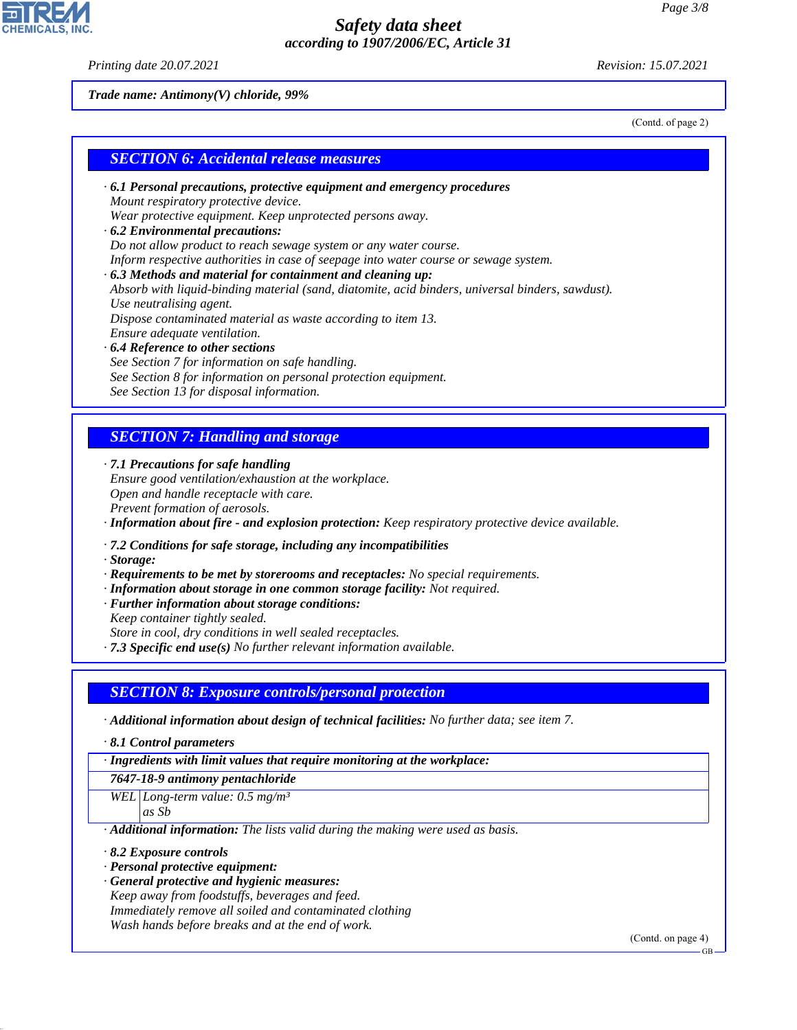*Printing date 20.07.2021 Revision: 15.07.2021*

*Trade name: Antimony(V) chloride, 99%*

(Contd. of page 2)

#### *SECTION 6: Accidental release measures*

*· 6.1 Personal precautions, protective equipment and emergency procedures Mount respiratory protective device.*

*Wear protective equipment. Keep unprotected persons away.*

- *· 6.2 Environmental precautions: Do not allow product to reach sewage system or any water course. Inform respective authorities in case of seepage into water course or sewage system. · 6.3 Methods and material for containment and cleaning up: Absorb with liquid-binding material (sand, diatomite, acid binders, universal binders, sawdust). Use neutralising agent. Dispose contaminated material as waste according to item 13. Ensure adequate ventilation. · 6.4 Reference to other sections*
- *See Section 7 for information on safe handling. See Section 8 for information on personal protection equipment. See Section 13 for disposal information.*

#### *SECTION 7: Handling and storage*

*· 7.1 Precautions for safe handling*

*Ensure good ventilation/exhaustion at the workplace. Open and handle receptacle with care. Prevent formation of aerosols.*

*· Information about fire - and explosion protection: Keep respiratory protective device available.*

*· 7.2 Conditions for safe storage, including any incompatibilities*

*· Storage:*

- *· Requirements to be met by storerooms and receptacles: No special requirements.*
- *· Information about storage in one common storage facility: Not required.*
- *· Further information about storage conditions:*

*Keep container tightly sealed.*

*Store in cool, dry conditions in well sealed receptacles.*

*· 7.3 Specific end use(s) No further relevant information available.*

#### *SECTION 8: Exposure controls/personal protection*

*· Additional information about design of technical facilities: No further data; see item 7.*

*· 8.1 Control parameters*

*· Ingredients with limit values that require monitoring at the workplace:*

*7647-18-9 antimony pentachloride*

*WEL Long-term value: 0.5 mg/m³ as Sb*

*· Additional information: The lists valid during the making were used as basis.*

*· 8.2 Exposure controls*

44.1.1

- *· Personal protective equipment:*
- *· General protective and hygienic measures: Keep away from foodstuffs, beverages and feed. Immediately remove all soiled and contaminated clothing Wash hands before breaks and at the end of work.*

(Contd. on page 4)

GB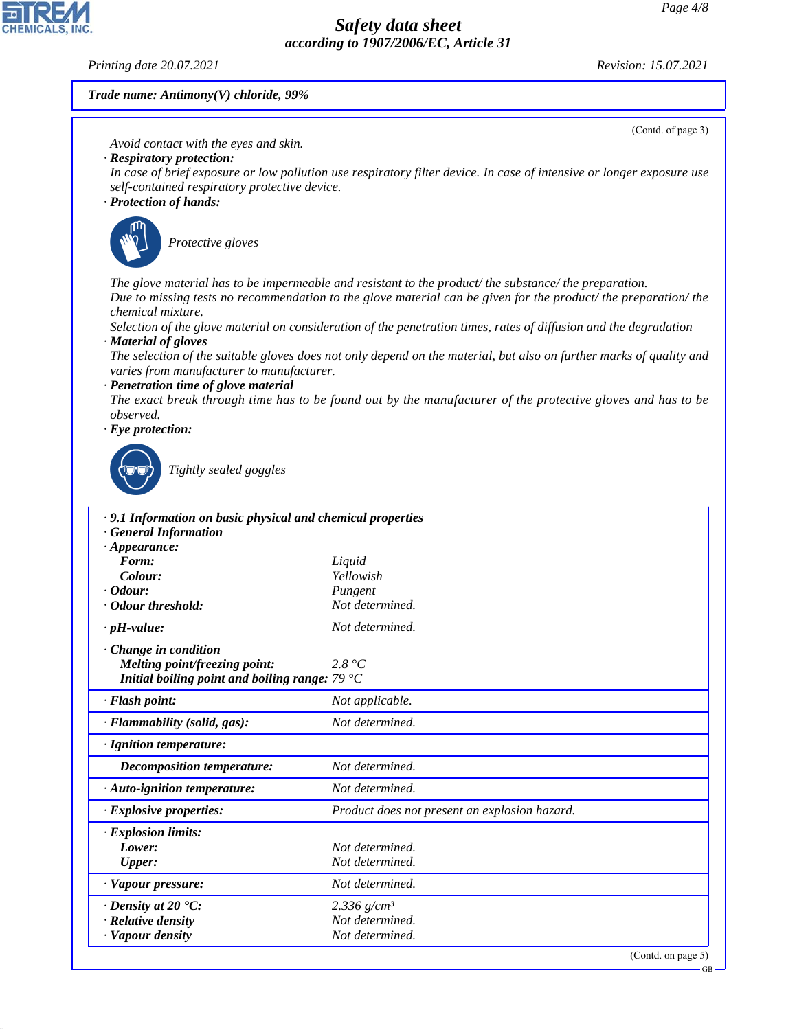*Printing date 20.07.2021 Revision: 15.07.2021*

**CHEMICALS.** 

(Contd. of page 3)

#### *Trade name: Antimony(V) chloride, 99%*

*Avoid contact with the eyes and skin.*

- *· Respiratory protection:*
- *In case of brief exposure or low pollution use respiratory filter device. In case of intensive or longer exposure use self-contained respiratory protective device.*
- *· Protection of hands:*



\_S*Protective gloves*

*The glove material has to be impermeable and resistant to the product/ the substance/ the preparation. Due to missing tests no recommendation to the glove material can be given for the product/ the preparation/ the chemical mixture.*

*Selection of the glove material on consideration of the penetration times, rates of diffusion and the degradation · Material of gloves*

*The selection of the suitable gloves does not only depend on the material, but also on further marks of quality and varies from manufacturer to manufacturer.*

*· Penetration time of glove material*

*The exact break through time has to be found out by the manufacturer of the protective gloves and has to be observed.*

*· Eye protection:*



44.1.1

\_R*Tightly sealed goggles*

| .9.1 Information on basic physical and chemical properties |                                               |
|------------------------------------------------------------|-----------------------------------------------|
| <b>General Information</b>                                 |                                               |
| $\cdot$ Appearance:                                        |                                               |
| Form:                                                      | Liquid                                        |
| Colour:                                                    | Yellowish                                     |
| $\cdot$ Odour:                                             | Pungent                                       |
| · Odour threshold:                                         | Not determined.                               |
| $\cdot$ pH-value:                                          | Not determined.                               |
| $\cdot$ Change in condition                                |                                               |
| <b>Melting point/freezing point:</b>                       | 2.8 °C                                        |
| Initial boiling point and boiling range: $79 °C$           |                                               |
| $\cdot$ Flash point:                                       | Not applicable.                               |
| $\cdot$ Flammability (solid, gas):                         | Not determined.                               |
| · Ignition temperature:                                    |                                               |
| Decomposition temperature:                                 | Not determined.                               |
| $\cdot$ Auto-ignition temperature:                         | Not determined.                               |
| $\cdot$ Explosive properties:                              | Product does not present an explosion hazard. |
| · Explosion limits:                                        |                                               |
| Lower:                                                     | Not determined.                               |
| Upper:                                                     | Not determined.                               |
| · Vapour pressure:                                         | Not determined.                               |
| $\cdot$ Density at 20 $\textdegree$ C:                     | 2.336 $g/cm^3$                                |
| · Relative density                                         | Not determined.                               |
| · Vapour density                                           | Not determined.                               |
|                                                            | (Contd. on page 5)                            |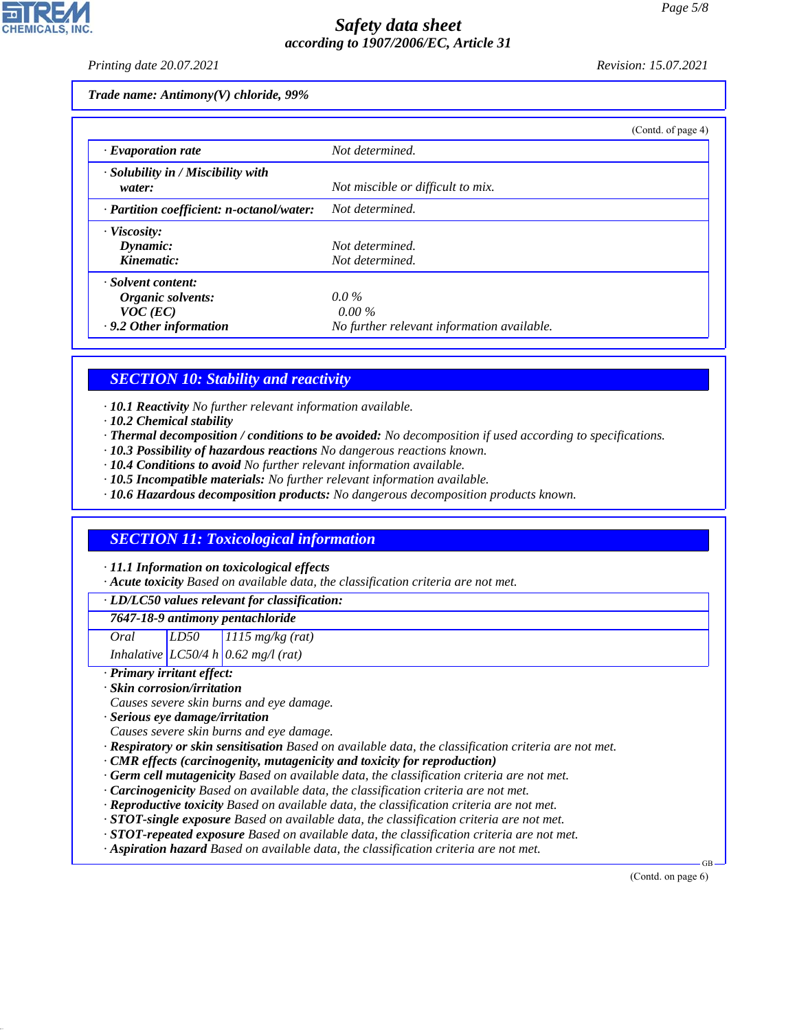*Printing date 20.07.2021 Revision: 15.07.2021*

*Trade name: Antimony(V) chloride, 99%*

|                                                    | (Contd. of page 4)                         |
|----------------------------------------------------|--------------------------------------------|
| $\cdot$ Evaporation rate                           | Not determined.                            |
| $\cdot$ Solubility in / Miscibility with<br>water: | Not miscible or difficult to mix.          |
| $\cdot$ Partition coefficient: n-octanol/water:    | Not determined.                            |
| · Viscosity:                                       |                                            |
| Dynamic:                                           | Not determined.                            |
| Kinematic:                                         | Not determined.                            |
| · Solvent content:                                 |                                            |
| Organic solvents:                                  | $0.0\%$                                    |
| $VOC$ (EC)                                         | $0.00\%$                                   |
| .9.2 Other information                             | No further relevant information available. |

# *SECTION 10: Stability and reactivity*

*· 10.1 Reactivity No further relevant information available.*

- *· 10.2 Chemical stability*
- *· Thermal decomposition / conditions to be avoided: No decomposition if used according to specifications.*
- *· 10.3 Possibility of hazardous reactions No dangerous reactions known.*
- *· 10.4 Conditions to avoid No further relevant information available.*
- *· 10.5 Incompatible materials: No further relevant information available.*
- *· 10.6 Hazardous decomposition products: No dangerous decomposition products known.*

# *SECTION 11: Toxicological information*

*· 11.1 Information on toxicological effects*

*· Acute toxicity Based on available data, the classification criteria are not met.*

#### *· LD/LC50 values relevant for classification:*

*7647-18-9 antimony pentachloride*

*Oral LD50 1115 mg/kg (rat)*

*Inhalative LC50/4 h 0.62 mg/l (rat)*

#### *· Primary irritant effect:*

44.1.1

*· Skin corrosion/irritation*

*Causes severe skin burns and eye damage.*

- *· Serious eye damage/irritation*
- *Causes severe skin burns and eye damage.*
- *· Respiratory or skin sensitisation Based on available data, the classification criteria are not met.*
- *· CMR effects (carcinogenity, mutagenicity and toxicity for reproduction)*
- *· Germ cell mutagenicity Based on available data, the classification criteria are not met.*
- *· Carcinogenicity Based on available data, the classification criteria are not met.*
- *· Reproductive toxicity Based on available data, the classification criteria are not met.*
- *· STOT-single exposure Based on available data, the classification criteria are not met.*
- *· STOT-repeated exposure Based on available data, the classification criteria are not met.*
- *· Aspiration hazard Based on available data, the classification criteria are not met.*

(Contd. on page 6)

GB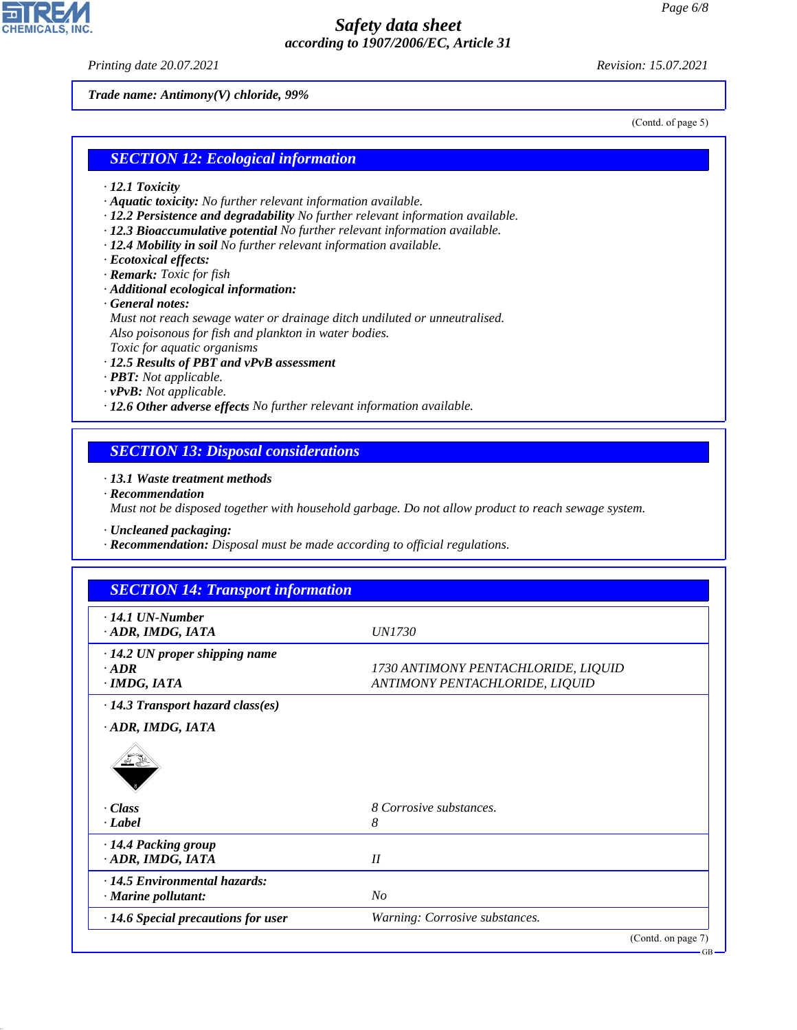*Printing date 20.07.2021 Revision: 15.07.2021*

*Trade name: Antimony(V) chloride, 99%*

(Contd. of page 5)

#### *SECTION 12: Ecological information*

- *· 12.1 Toxicity*
- *· Aquatic toxicity: No further relevant information available.*
- *· 12.2 Persistence and degradability No further relevant information available.*
- *· 12.3 Bioaccumulative potential No further relevant information available.*
- *· 12.4 Mobility in soil No further relevant information available.*
- *· Ecotoxical effects:*
- *· Remark: Toxic for fish*
- *· Additional ecological information:*
- *· General notes:*

*Must not reach sewage water or drainage ditch undiluted or unneutralised. Also poisonous for fish and plankton in water bodies. Toxic for aquatic organisms*

- *· 12.5 Results of PBT and vPvB assessment*
- *· PBT: Not applicable.*
- *· vPvB: Not applicable.*
- *· 12.6 Other adverse effects No further relevant information available.*

#### *SECTION 13: Disposal considerations*

*· 13.1 Waste treatment methods*

*· Recommendation*

*Must not be disposed together with household garbage. Do not allow product to reach sewage system.*

*· Uncleaned packaging:*

*· Recommendation: Disposal must be made according to official regulations.*

| $\cdot$ 14.1 UN-Number                    |                                     |
|-------------------------------------------|-------------------------------------|
| ADR, IMDG, IATA                           | <i>UN1730</i>                       |
| $\cdot$ 14.2 UN proper shipping name      |                                     |
| $\cdot$ ADR                               | 1730 ANTIMONY PENTACHLORIDE, LIQUID |
| $\cdot$ IMDG, IATA                        | ANTIMONY PENTACHLORIDE, LIQUID      |
|                                           |                                     |
| $\cdot$ 14.3 Transport hazard class(es)   |                                     |
| ADR, IMDG, IATA                           |                                     |
| · Class                                   | 8 Corrosive substances.             |
|                                           |                                     |
| $\cdot$ <i>Label</i>                      | 8                                   |
| · 14.4 Packing group                      |                                     |
| · ADR, IMDG, IATA                         | II                                  |
| · 14.5 Environmental hazards:             |                                     |
| · Marine pollutant:                       | N <sub>O</sub>                      |
| $\cdot$ 14.6 Special precautions for user | Warning: Corrosive substances.      |
|                                           |                                     |



44.1.1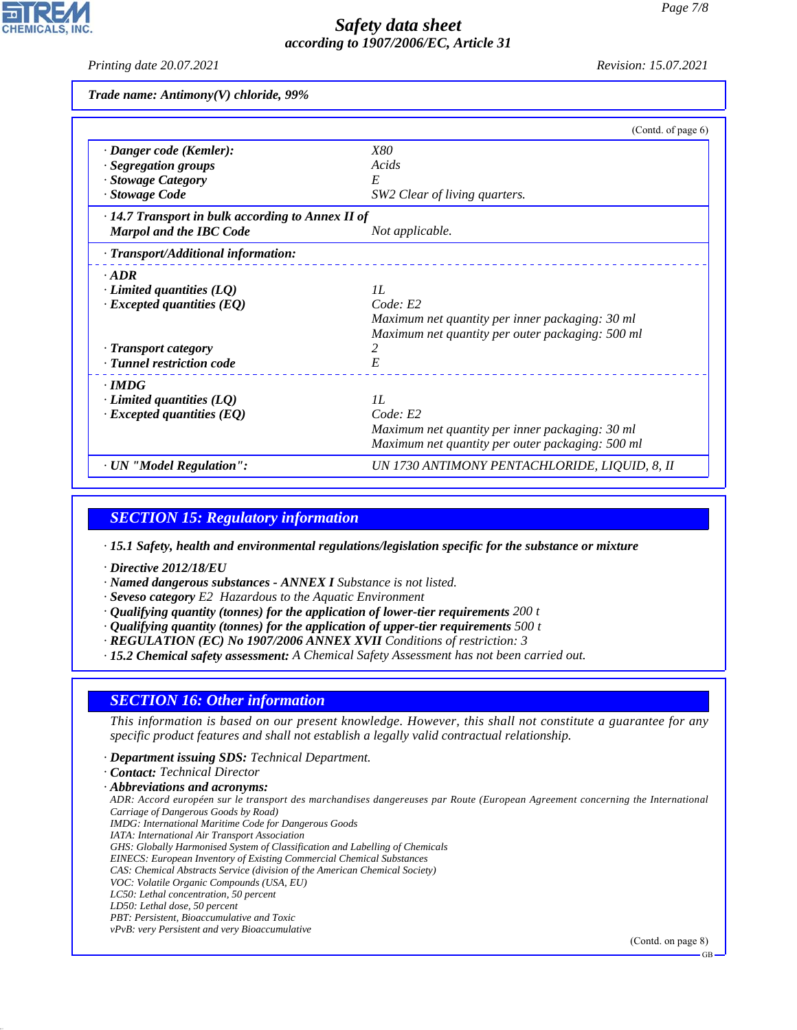*Printing date 20.07.2021 Revision: 15.07.2021*

*Trade name: Antimony(V) chloride, 99%*

|                                                   | (Contd. of page 6)                               |
|---------------------------------------------------|--------------------------------------------------|
| · Danger code (Kemler):                           | <i>X80</i>                                       |
| · Segregation groups                              | Acids                                            |
| · Stowage Category                                | E                                                |
| · Stowage Code                                    | SW2 Clear of living quarters.                    |
| · 14.7 Transport in bulk according to Annex II of |                                                  |
| <b>Marpol and the IBC Code</b>                    | Not applicable.                                  |
| · Transport/Additional information:               |                                                  |
| $-ADR$                                            |                                                  |
| $\cdot$ Limited quantities (LQ)                   | II.                                              |
| $\cdot$ Excepted quantities (EQ)                  | Code: E2                                         |
|                                                   | Maximum net quantity per inner packaging: 30 ml  |
|                                                   | Maximum net quantity per outer packaging: 500 ml |
| · Transport category                              | 2                                                |
| · Tunnel restriction code                         | E                                                |
| $\cdot$ IMDG                                      |                                                  |
| $\cdot$ Limited quantities (LQ)                   | II.                                              |
| $\cdot$ Excepted quantities (EQ)                  | Code: E2                                         |
|                                                   | Maximum net quantity per inner packaging: 30 ml  |
|                                                   | Maximum net quantity per outer packaging: 500 ml |
| · UN "Model Regulation":                          | UN 1730 ANTIMONY PENTACHLORIDE, LIQUID, 8, II    |

#### *SECTION 15: Regulatory information*

*· 15.1 Safety, health and environmental regulations/legislation specific for the substance or mixture*

- *· Directive 2012/18/EU*
- *· Named dangerous substances ANNEX I Substance is not listed.*
- *· Seveso category E2 Hazardous to the Aquatic Environment*
- *· Qualifying quantity (tonnes) for the application of lower-tier requirements 200 t*
- *· Qualifying quantity (tonnes) for the application of upper-tier requirements 500 t*
- *· REGULATION (EC) No 1907/2006 ANNEX XVII Conditions of restriction: 3*
- *· 15.2 Chemical safety assessment: A Chemical Safety Assessment has not been carried out.*

#### *SECTION 16: Other information*

*This information is based on our present knowledge. However, this shall not constitute a guarantee for any specific product features and shall not establish a legally valid contractual relationship.*

- *· Department issuing SDS: Technical Department.*
- *· Contact: Technical Director*
- *· Abbreviations and acronyms:*

*ADR: Accord européen sur le transport des marchandises dangereuses par Route (European Agreement concerning the International Carriage of Dangerous Goods by Road)*

- *IMDG: International Maritime Code for Dangerous Goods*
- *IATA: International Air Transport Association*
- *GHS: Globally Harmonised System of Classification and Labelling of Chemicals*
- *EINECS: European Inventory of Existing Commercial Chemical Substances*
- *CAS: Chemical Abstracts Service (division of the American Chemical Society) VOC: Volatile Organic Compounds (USA, EU)*
- *LC50: Lethal concentration, 50 percent*
- *LD50: Lethal dose, 50 percent*

44.1.1

- *PBT: Persistent, Bioaccumulative and Toxic*
- *vPvB: very Persistent and very Bioaccumulative*

(Contd. on page 8)

GB